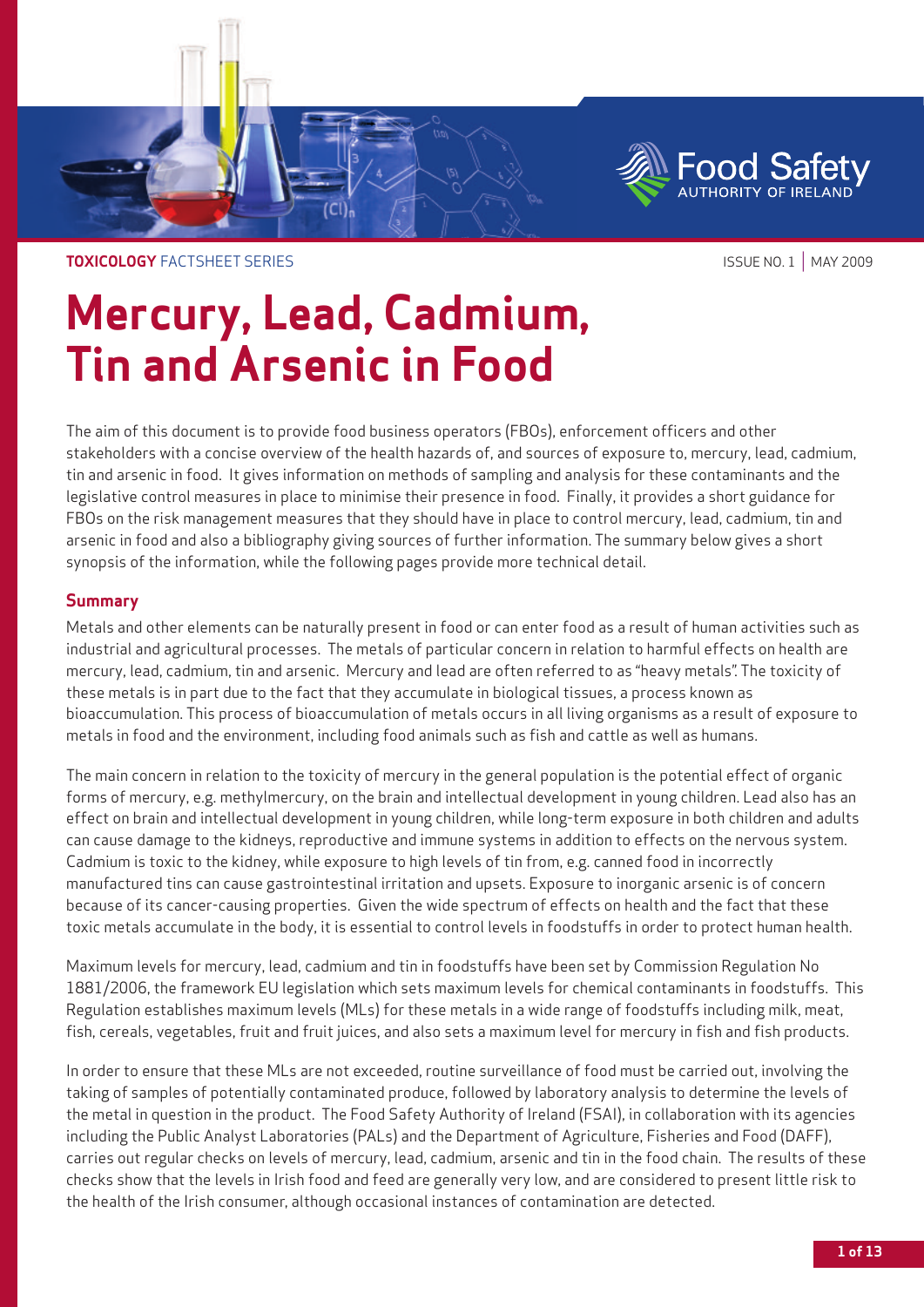

**TOXICOLOGY** FACTSHEET SERIES **ISSUE NO. 1** | MAY 2009

# **Mercury, Lead, Cadmium, Tin and Arsenic in Food**

The aim of this document is to provide food business operators (FBOs), enforcement officers and other stakeholders with a concise overview of the health hazards of, and sources of exposure to, mercury, lead, cadmium, tin and arsenic in food. It gives information on methods of sampling and analysis for these contaminants and the legislative control measures in place to minimise their presence in food. Finally, it provides a short guidance for FBOs on the risk management measures that they should have in place to control mercury, lead, cadmium, tin and arsenic in food and also a bibliography giving sources of further information. The summary below gives a short synopsis of the information, while the following pages provide more technical detail.

# **Summary**

Metals and other elements can be naturally present in food or can enter food as a result of human activities such as industrial and agricultural processes. The metals of particular concern in relation to harmful effects on health are mercury, lead, cadmium, tin and arsenic. Mercury and lead are often referred to as "heavy metals". The toxicity of these metals is in part due to the fact that they accumulate in biological tissues, a process known as bioaccumulation. This process of bioaccumulation of metals occurs in all living organisms as a result of exposure to metals in food and the environment, including food animals such as fish and cattle as well as humans.

The main concern in relation to the toxicity of mercury in the general population is the potential effect of organic forms of mercury, e.g. methylmercury, on the brain and intellectual development in young children. Lead also has an effect on brain and intellectual development in young children, while long-term exposure in both children and adults can cause damage to the kidneys, reproductive and immune systems in addition to effects on the nervous system. Cadmium is toxic to the kidney, while exposure to high levels of tin from, e.g. canned food in incorrectly manufactured tins can cause gastrointestinal irritation and upsets. Exposure to inorganic arsenic is of concern because of its cancer-causing properties. Given the wide spectrum of effects on health and the fact that these toxic metals accumulate in the body, it is essential to control levels in foodstuffs in order to protect human health.

Maximum levels for mercury, lead, cadmium and tin in foodstuffs have been set by Commission Regulation No 1881/2006, the framework EU legislation which sets maximum levels for chemical contaminants in foodstuffs. This Regulation establishes maximum levels (MLs) for these metals in a wide range of foodstuffs including milk, meat, fish, cereals, vegetables, fruit and fruit juices, and also sets a maximum level for mercury in fish and fish products.

In order to ensure that these MLs are not exceeded, routine surveillance of food must be carried out, involving the taking of samples of potentially contaminated produce, followed by laboratory analysis to determine the levels of the metal in question in the product. The Food Safety Authority of Ireland (FSAI), in collaboration with its agencies including the Public Analyst Laboratories (PALs) and the Department of Agriculture, Fisheries and Food (DAFF), carries out regular checks on levels of mercury, lead, cadmium, arsenic and tin in the food chain. The results of these checks show that the levels in Irish food and feed are generally very low, and are considered to present little risk to the health of the Irish consumer, although occasional instances of contamination are detected.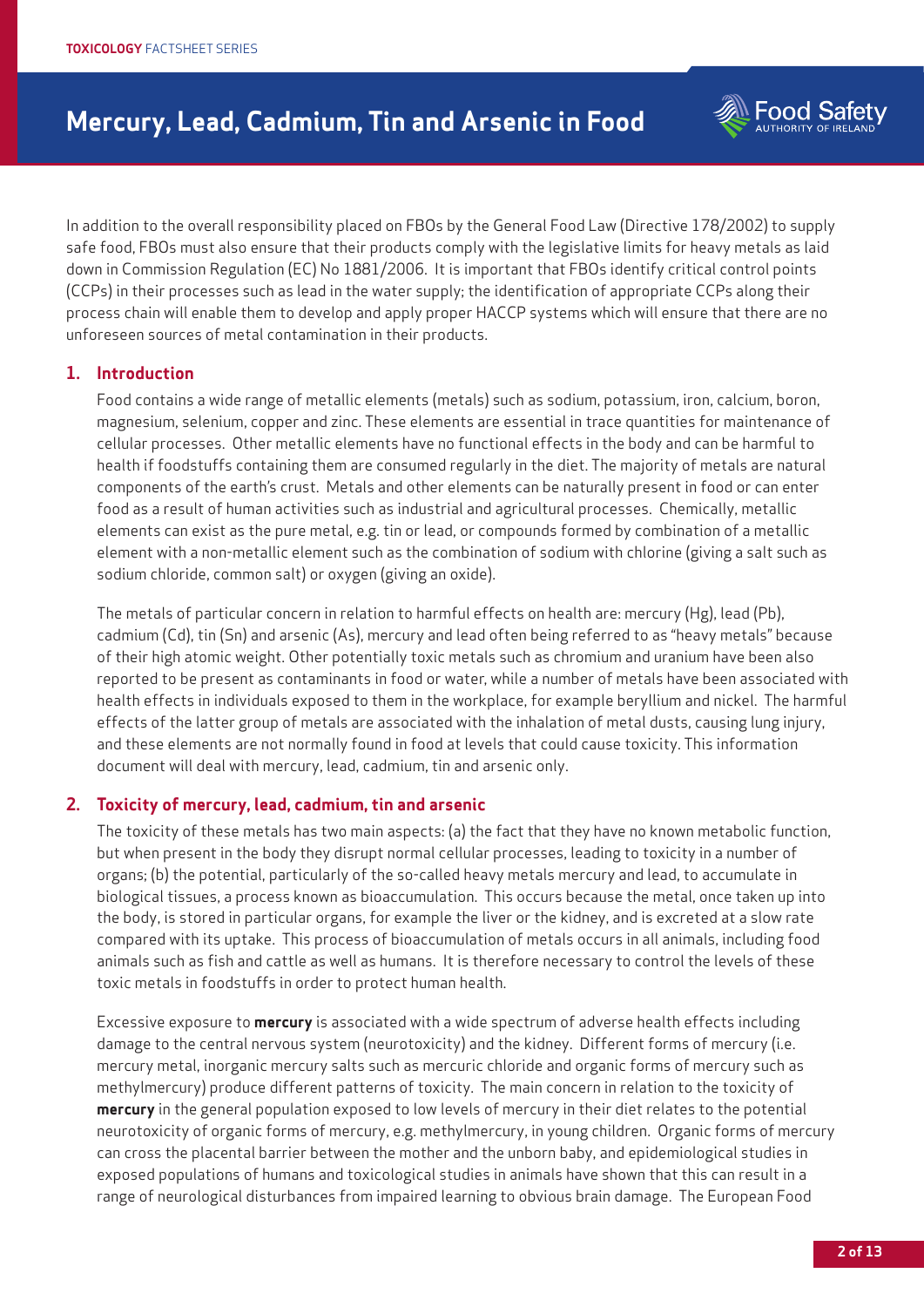**Food Safety** 

In addition to the overall responsibility placed on FBOs by the General Food Law (Directive 178/2002) to supply safe food, FBOs must also ensure that their products comply with the legislative limits for heavy metals as laid down in Commission Regulation (EC) No 1881/2006. It is important that FBOs identify critical control points (CCPs) in their processes such as lead in the water supply; the identification of appropriate CCPs along their process chain will enable them to develop and apply proper HACCP systems which will ensure that there are no unforeseen sources of metal contamination in their products.

# **1. Introduction**

Food contains a wide range of metallic elements (metals) such as sodium, potassium, iron, calcium, boron, magnesium, selenium, copper and zinc. These elements are essential in trace quantities for maintenance of cellular processes. Other metallic elements have no functional effects in the body and can be harmful to health if foodstuffs containing them are consumed regularly in the diet. The majority of metals are natural components of the earth's crust. Metals and other elements can be naturally present in food or can enter food as a result of human activities such as industrial and agricultural processes. Chemically, metallic elements can exist as the pure metal, e.g. tin or lead, or compounds formed by combination of a metallic element with a non-metallic element such as the combination of sodium with chlorine (giving a salt such as sodium chloride, common salt) or oxygen (giving an oxide).

The metals of particular concern in relation to harmful effects on health are: mercury (Hg), lead (Pb), cadmium (Cd), tin (Sn) and arsenic (As), mercury and lead often being referred to as "heavy metals" because of their high atomic weight. Other potentially toxic metals such as chromium and uranium have been also reported to be present as contaminants in food or water, while a number of metals have been associated with health effects in individuals exposed to them in the workplace, for example beryllium and nickel. The harmful effects of the latter group of metals are associated with the inhalation of metal dusts, causing lung injury, and these elements are not normally found in food at levels that could cause toxicity. This information document will deal with mercury, lead, cadmium, tin and arsenic only.

### **2. Toxicity of mercury, lead, cadmium, tin and arsenic**

The toxicity of these metals has two main aspects: (a) the fact that they have no known metabolic function, but when present in the body they disrupt normal cellular processes, leading to toxicity in a number of organs; (b) the potential, particularly of the so-called heavy metals mercury and lead, to accumulate in biological tissues, a process known as bioaccumulation. This occurs because the metal, once taken up into the body, is stored in particular organs, for example the liver or the kidney, and is excreted at a slow rate compared with its uptake. This process of bioaccumulation of metals occurs in all animals, including food animals such as fish and cattle as well as humans. It is therefore necessary to control the levels of these toxic metals in foodstuffs in order to protect human health.

Excessive exposure to **mercury** is associated with a wide spectrum of adverse health effects including damage to the central nervous system (neurotoxicity) and the kidney. Different forms of mercury (i.e. mercury metal, inorganic mercury salts such as mercuric chloride and organic forms of mercury such as methylmercury) produce different patterns of toxicity. The main concern in relation to the toxicity of **mercury** in the general population exposed to low levels of mercury in their diet relates to the potential neurotoxicity of organic forms of mercury, e.g. methylmercury, in young children. Organic forms of mercury can cross the placental barrier between the mother and the unborn baby, and epidemiological studies in exposed populations of humans and toxicological studies in animals have shown that this can result in a range of neurological disturbances from impaired learning to obvious brain damage. The European Food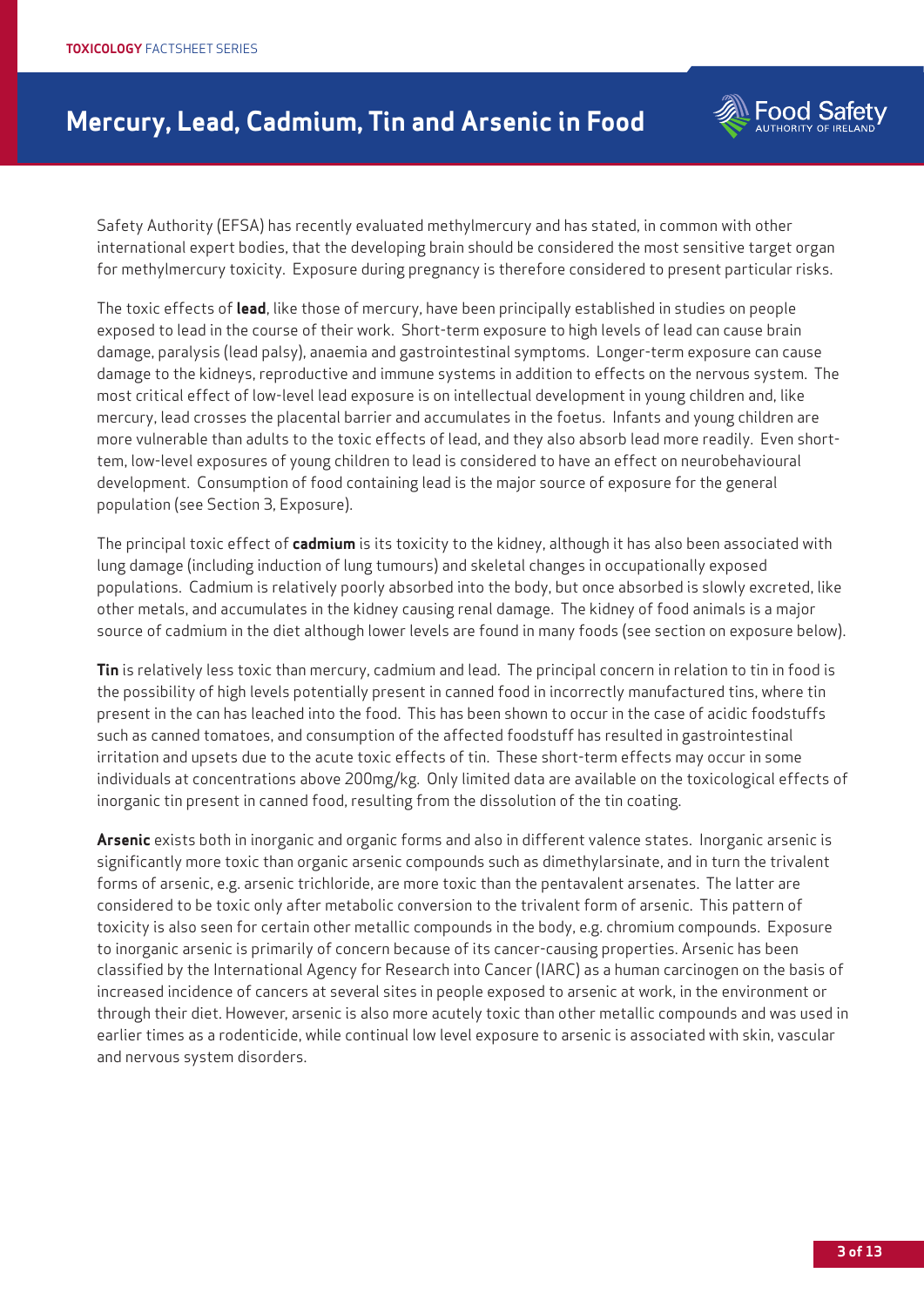

Safety Authority (EFSA) has recently evaluated methylmercury and has stated, in common with other international expert bodies, that the developing brain should be considered the most sensitive target organ for methylmercury toxicity. Exposure during pregnancy is therefore considered to present particular risks.

The toxic effects of **lead**, like those of mercury, have been principally established in studies on people exposed to lead in the course of their work. Short-term exposure to high levels of lead can cause brain damage, paralysis (lead palsy), anaemia and gastrointestinal symptoms. Longer-term exposure can cause damage to the kidneys, reproductive and immune systems in addition to effects on the nervous system. The most critical effect of low-level lead exposure is on intellectual development in young children and, like mercury, lead crosses the placental barrier and accumulates in the foetus. Infants and young children are more vulnerable than adults to the toxic effects of lead, and they also absorb lead more readily. Even shorttem, low-level exposures of young children to lead is considered to have an effect on neurobehavioural development. Consumption of food containing lead is the major source of exposure for the general population (see Section 3, Exposure).

The principal toxic effect of **cadmium** is its toxicity to the kidney, although it has also been associated with lung damage (including induction of lung tumours) and skeletal changes in occupationally exposed populations. Cadmium is relatively poorly absorbed into the body, but once absorbed is slowly excreted, like other metals, and accumulates in the kidney causing renal damage. The kidney of food animals is a major source of cadmium in the diet although lower levels are found in many foods (see section on exposure below).

**Tin** is relatively less toxic than mercury, cadmium and lead. The principal concern in relation to tin in food is the possibility of high levels potentially present in canned food in incorrectly manufactured tins, where tin present in the can has leached into the food. This has been shown to occur in the case of acidic foodstuffs such as canned tomatoes, and consumption of the affected foodstuff has resulted in gastrointestinal irritation and upsets due to the acute toxic effects of tin. These short-term effects may occur in some individuals at concentrations above 200mg/kg. Only limited data are available on the toxicological effects of inorganic tin present in canned food, resulting from the dissolution of the tin coating.

**Arsenic** exists both in inorganic and organic forms and also in different valence states. Inorganic arsenic is significantly more toxic than organic arsenic compounds such as dimethylarsinate, and in turn the trivalent forms of arsenic, e.g. arsenic trichloride, are more toxic than the pentavalent arsenates. The latter are considered to be toxic only after metabolic conversion to the trivalent form of arsenic. This pattern of toxicity is also seen for certain other metallic compounds in the body, e.g. chromium compounds. Exposure to inorganic arsenic is primarily of concern because of its cancer-causing properties. Arsenic has been classified by the International Agency for Research into Cancer (IARC) as a human carcinogen on the basis of increased incidence of cancers at several sites in people exposed to arsenic at work, in the environment or through their diet. However, arsenic is also more acutely toxic than other metallic compounds and was used in earlier times as a rodenticide, while continual low level exposure to arsenic is associated with skin, vascular and nervous system disorders.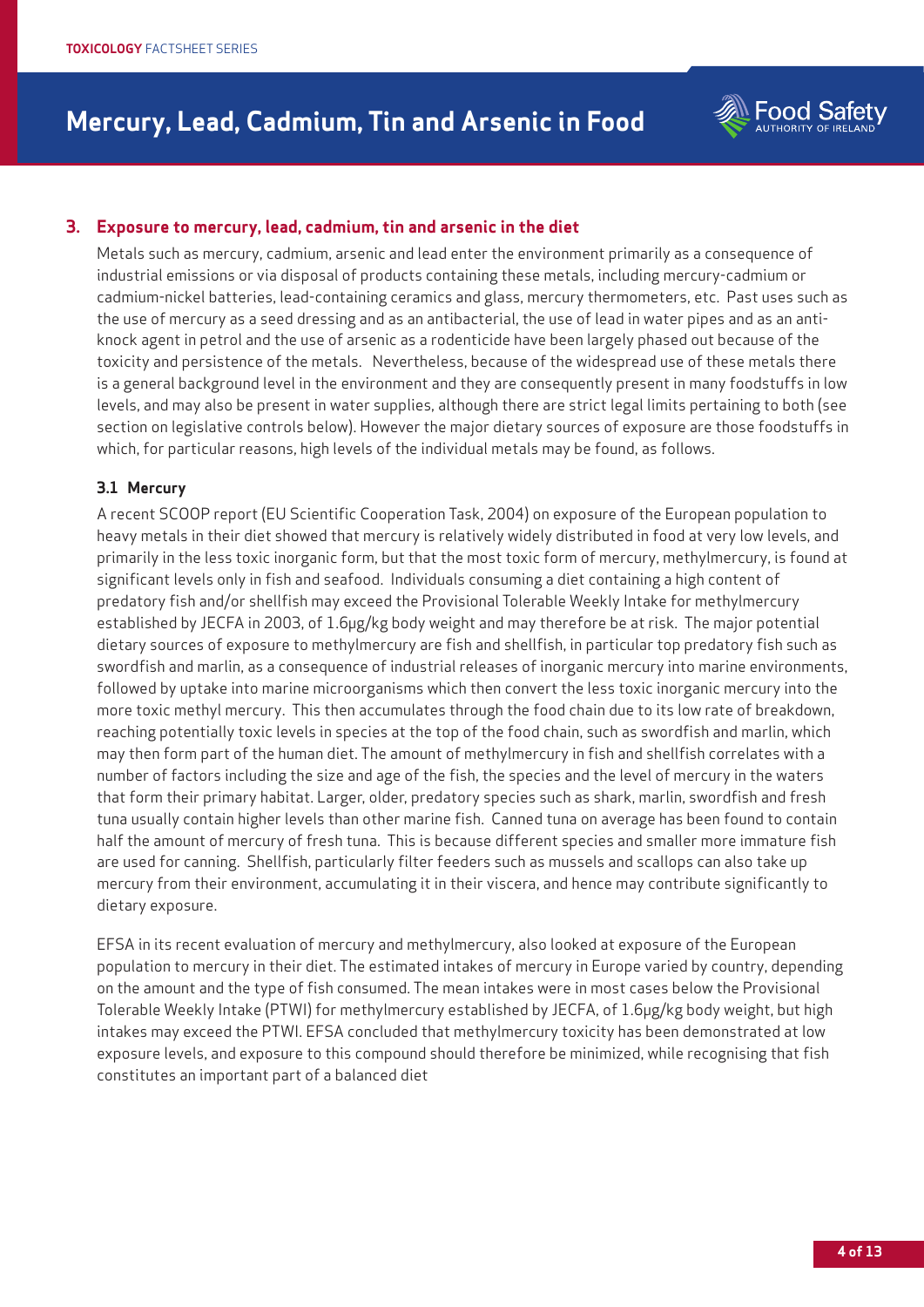

# **3. Exposure to mercury, lead, cadmium, tin and arsenic in the diet**

Metals such as mercury, cadmium, arsenic and lead enter the environment primarily as a consequence of industrial emissions or via disposal of products containing these metals, including mercury-cadmium or cadmium-nickel batteries, lead-containing ceramics and glass, mercury thermometers, etc. Past uses such as the use of mercury as a seed dressing and as an antibacterial, the use of lead in water pipes and as an antiknock agent in petrol and the use of arsenic as a rodenticide have been largely phased out because of the toxicity and persistence of the metals. Nevertheless, because of the widespread use of these metals there is a general background level in the environment and they are consequently present in many foodstuffs in low levels, and may also be present in water supplies, although there are strict legal limits pertaining to both (see section on legislative controls below). However the major dietary sources of exposure are those foodstuffs in which, for particular reasons, high levels of the individual metals may be found, as follows.

### **3.1 Mercury**

A recent SCOOP report (EU Scientific Cooperation Task, 2004) on exposure of the European population to heavy metals in their diet showed that mercury is relatively widely distributed in food at very low levels, and primarily in the less toxic inorganic form, but that the most toxic form of mercury, methylmercury, is found at significant levels only in fish and seafood. Individuals consuming a diet containing a high content of predatory fish and/or shellfish may exceed the Provisional Tolerable Weekly Intake for methylmercury established by JECFA in 2003, of 1.6µg/kg body weight and may therefore be at risk. The major potential dietary sources of exposure to methylmercury are fish and shellfish, in particular top predatory fish such as swordfish and marlin, as a consequence of industrial releases of inorganic mercury into marine environments, followed by uptake into marine microorganisms which then convert the less toxic inorganic mercury into the more toxic methyl mercury. This then accumulates through the food chain due to its low rate of breakdown, reaching potentially toxic levels in species at the top of the food chain, such as swordfish and marlin, which may then form part of the human diet. The amount of methylmercury in fish and shellfish correlates with a number of factors including the size and age of the fish, the species and the level of mercury in the waters that form their primary habitat. Larger, older, predatory species such as shark, marlin, swordfish and fresh tuna usually contain higher levels than other marine fish. Canned tuna on average has been found to contain half the amount of mercury of fresh tuna. This is because different species and smaller more immature fish are used for canning. Shellfish, particularly filter feeders such as mussels and scallops can also take up mercury from their environment, accumulating it in their viscera, and hence may contribute significantly to dietary exposure.

EFSA in its recent evaluation of mercury and methylmercury, also looked at exposure of the European population to mercury in their diet. The estimated intakes of mercury in Europe varied by country, depending on the amount and the type of fish consumed. The mean intakes were in most cases below the Provisional Tolerable Weekly Intake (PTWI) for methylmercury established by JECFA, of 1.6µg/kg body weight, but high intakes may exceed the PTWI. EFSA concluded that methylmercury toxicity has been demonstrated at low exposure levels, and exposure to this compound should therefore be minimized, while recognising that fish constitutes an important part of a balanced diet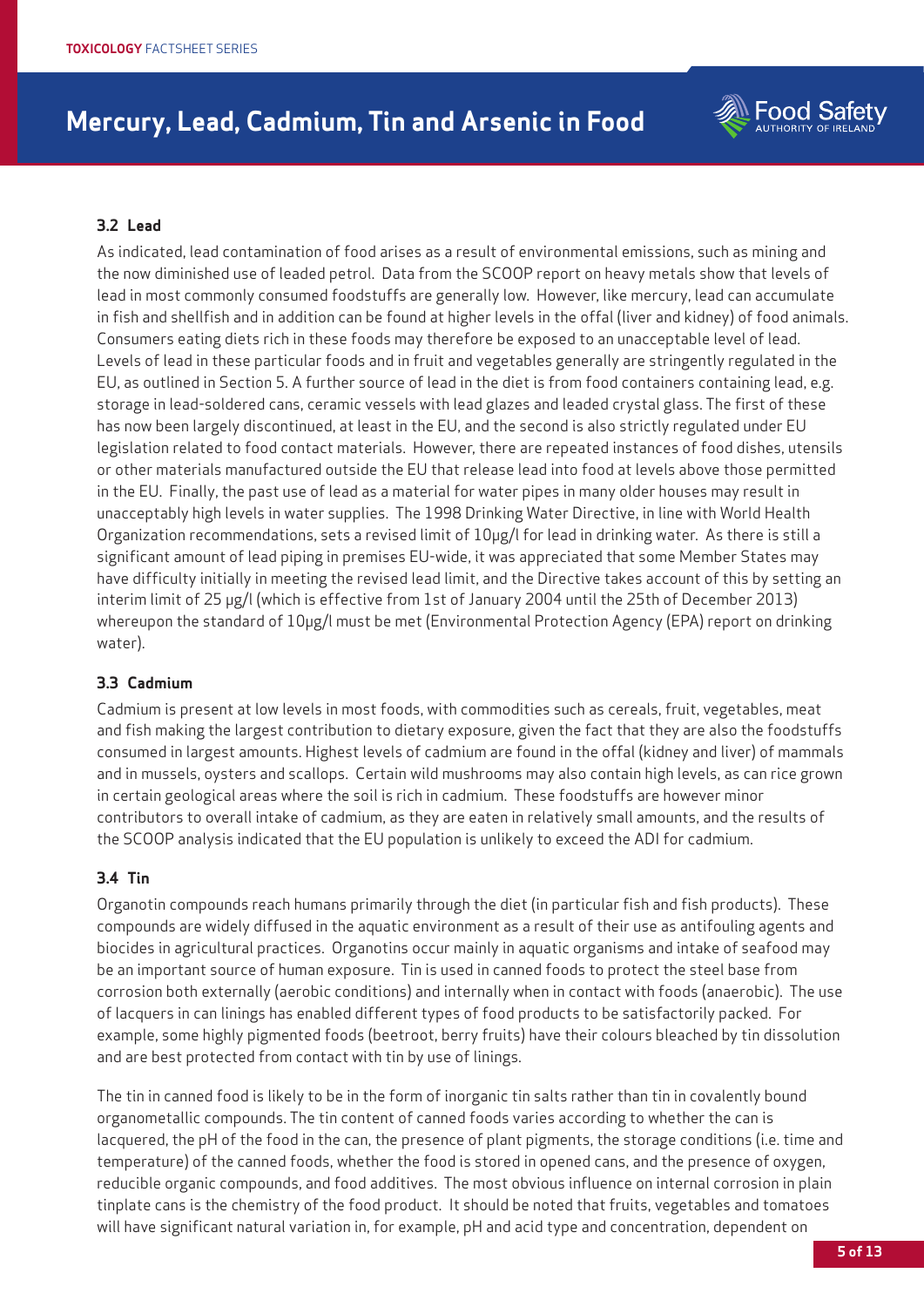

### **3.2 Lead**

As indicated, lead contamination of food arises as a result of environmental emissions, such as mining and the now diminished use of leaded petrol. Data from the SCOOP report on heavy metals show that levels of lead in most commonly consumed foodstuffs are generally low. However, like mercury, lead can accumulate in fish and shellfish and in addition can be found at higher levels in the offal (liver and kidney) of food animals. Consumers eating diets rich in these foods may therefore be exposed to an unacceptable level of lead. Levels of lead in these particular foods and in fruit and vegetables generally are stringently regulated in the EU, as outlined in Section 5. A further source of lead in the diet is from food containers containing lead, e.g. storage in lead-soldered cans, ceramic vessels with lead glazes and leaded crystal glass. The first of these has now been largely discontinued, at least in the EU, and the second is also strictly regulated under EU legislation related to food contact materials. However, there are repeated instances of food dishes, utensils or other materials manufactured outside the EU that release lead into food at levels above those permitted in the EU. Finally, the past use of lead as a material for water pipes in many older houses may result in unacceptably high levels in water supplies. The 1998 Drinking Water Directive, in line with World Health Organization recommendations, sets a revised limit of 10µg/l for lead in drinking water. As there is still a significant amount of lead piping in premises EU-wide, it was appreciated that some Member States may have difficulty initially in meeting the revised lead limit, and the Directive takes account of this by setting an interim limit of 25 µg/l (which is effective from 1st of January 2004 until the 25th of December 2013) whereupon the standard of  $10\mu$ g/l must be met (Environmental Protection Agency (EPA) report on drinking water).

### **3.3 Cadmium**

Cadmium is present at low levels in most foods, with commodities such as cereals, fruit, vegetables, meat and fish making the largest contribution to dietary exposure, given the fact that they are also the foodstuffs consumed in largest amounts. Highest levels of cadmium are found in the offal (kidney and liver) of mammals and in mussels, oysters and scallops. Certain wild mushrooms may also contain high levels, as can rice grown in certain geological areas where the soil is rich in cadmium. These foodstuffs are however minor contributors to overall intake of cadmium, as they are eaten in relatively small amounts, and the results of the SCOOP analysis indicated that the EU population is unlikely to exceed the ADI for cadmium.

### **3.4 Tin**

Organotin compounds reach humans primarily through the diet (in particular fish and fish products). These compounds are widely diffused in the aquatic environment as a result of their use as antifouling agents and biocides in agricultural practices. Organotins occur mainly in aquatic organisms and intake of seafood may be an important source of human exposure. Tin is used in canned foods to protect the steel base from corrosion both externally (aerobic conditions) and internally when in contact with foods (anaerobic). The use of lacquers in can linings has enabled different types of food products to be satisfactorily packed. For example, some highly pigmented foods (beetroot, berry fruits) have their colours bleached by tin dissolution and are best protected from contact with tin by use of linings.

The tin in canned food is likely to be in the form of inorganic tin salts rather than tin in covalently bound organometallic compounds. The tin content of canned foods varies according to whether the can is lacquered, the pH of the food in the can, the presence of plant pigments, the storage conditions (i.e. time and temperature) of the canned foods, whether the food is stored in opened cans, and the presence of oxygen, reducible organic compounds, and food additives. The most obvious influence on internal corrosion in plain tinplate cans is the chemistry of the food product. It should be noted that fruits, vegetables and tomatoes will have significant natural variation in, for example, pH and acid type and concentration, dependent on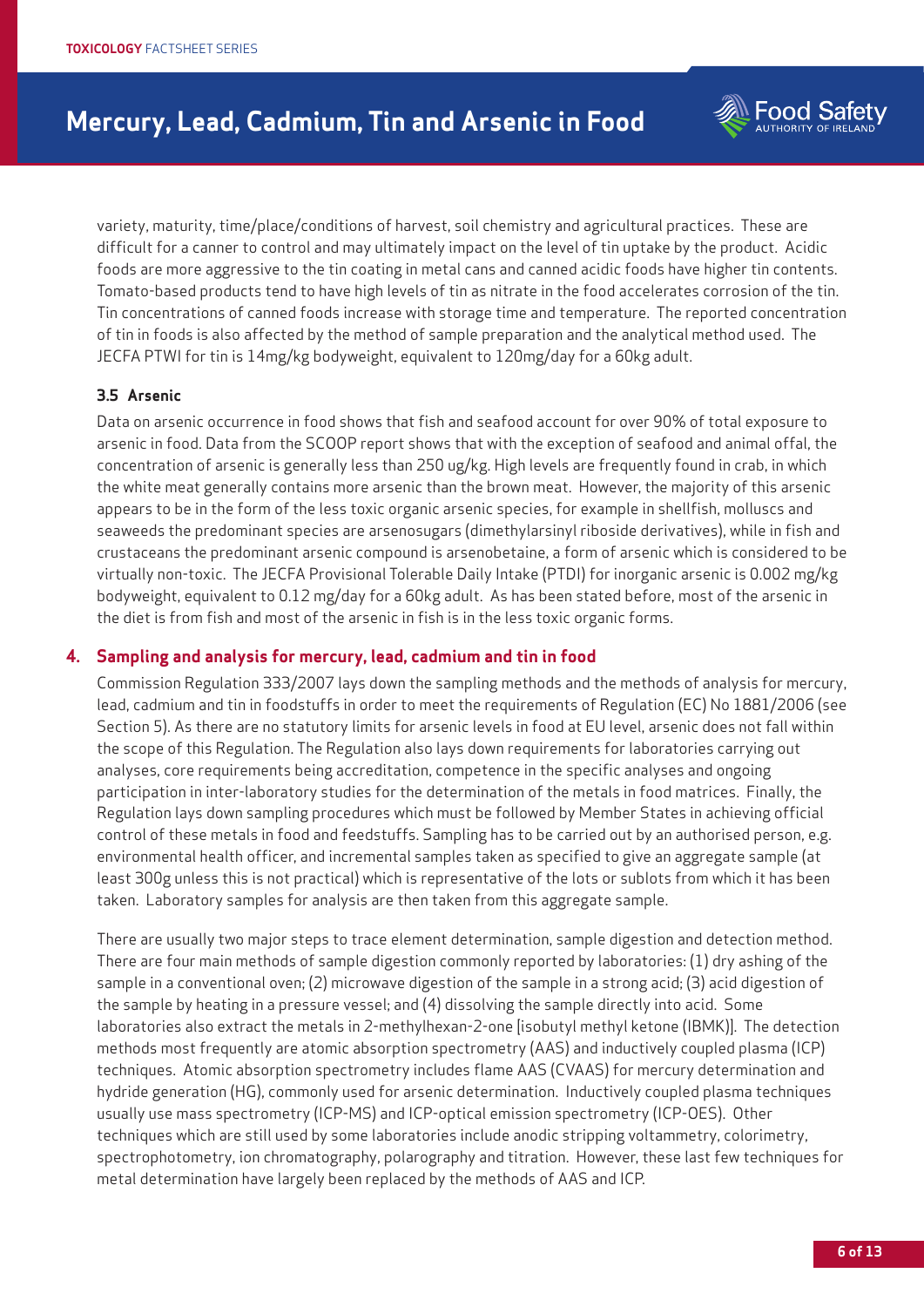

variety, maturity, time/place/conditions of harvest, soil chemistry and agricultural practices. These are difficult for a canner to control and may ultimately impact on the level of tin uptake by the product. Acidic foods are more aggressive to the tin coating in metal cans and canned acidic foods have higher tin contents. Tomato-based products tend to have high levels of tin as nitrate in the food accelerates corrosion of the tin. Tin concentrations of canned foods increase with storage time and temperature. The reported concentration of tin in foods is also affected by the method of sample preparation and the analytical method used. The JECFA PTWI for tin is 14mg/kg bodyweight, equivalent to 120mg/day for a 60kg adult.

### **3.5 Arsenic**

Data on arsenic occurrence in food shows that fish and seafood account for over 90% of total exposure to arsenic in food. Data from the SCOOP report shows that with the exception of seafood and animal offal, the concentration of arsenic is generally less than 250 ug/kg. High levels are frequently found in crab, in which the white meat generally contains more arsenic than the brown meat. However, the majority of this arsenic appears to be in the form of the less toxic organic arsenic species, for example in shellfish, molluscs and seaweeds the predominant species are arsenosugars (dimethylarsinyl riboside derivatives), while in fish and crustaceans the predominant arsenic compound is arsenobetaine, a form of arsenic which is considered to be virtually non-toxic. The JECFA Provisional Tolerable Daily Intake (PTDI) for inorganic arsenic is 0.002 mg/kg bodyweight, equivalent to 0.12 mg/day for a 60kg adult. As has been stated before, most of the arsenic in the diet is from fish and most of the arsenic in fish is in the less toxic organic forms.

### **4. Sampling and analysis for mercury, lead, cadmium and tin in food**

Commission Regulation 333/2007 lays down the sampling methods and the methods of analysis for mercury, lead, cadmium and tin in foodstuffs in order to meet the requirements of Regulation (EC) No 1881/2006 (see Section 5). As there are no statutory limits for arsenic levels in food at EU level, arsenic does not fall within the scope of this Regulation. The Regulation also lays down requirements for laboratories carrying out analyses, core requirements being accreditation, competence in the specific analyses and ongoing participation in inter-laboratory studies for the determination of the metals in food matrices. Finally, the Regulation lays down sampling procedures which must be followed by Member States in achieving official control of these metals in food and feedstuffs. Sampling has to be carried out by an authorised person, e.g. environmental health officer, and incremental samples taken as specified to give an aggregate sample (at least 300g unless this is not practical) which is representative of the lots or sublots from which it has been taken. Laboratory samples for analysis are then taken from this aggregate sample.

There are usually two major steps to trace element determination, sample digestion and detection method. There are four main methods of sample digestion commonly reported by laboratories: (1) dry ashing of the sample in a conventional oven; (2) microwave digestion of the sample in a strong acid; (3) acid digestion of the sample by heating in a pressure vessel; and (4) dissolving the sample directly into acid. Some laboratories also extract the metals in 2-methylhexan-2-one [isobutyl methyl ketone (IBMK)]. The detection methods most frequently are atomic absorption spectrometry (AAS) and inductively coupled plasma (ICP) techniques. Atomic absorption spectrometry includes flame AAS (CVAAS) for mercury determination and hydride generation (HG), commonly used for arsenic determination. Inductively coupled plasma techniques usually use mass spectrometry (ICP-MS) and ICP-optical emission spectrometry (ICP-OES). Other techniques which are still used by some laboratories include anodic stripping voltammetry, colorimetry, spectrophotometry, ion chromatography, polarography and titration. However, these last few techniques for metal determination have largely been replaced by the methods of AAS and ICP.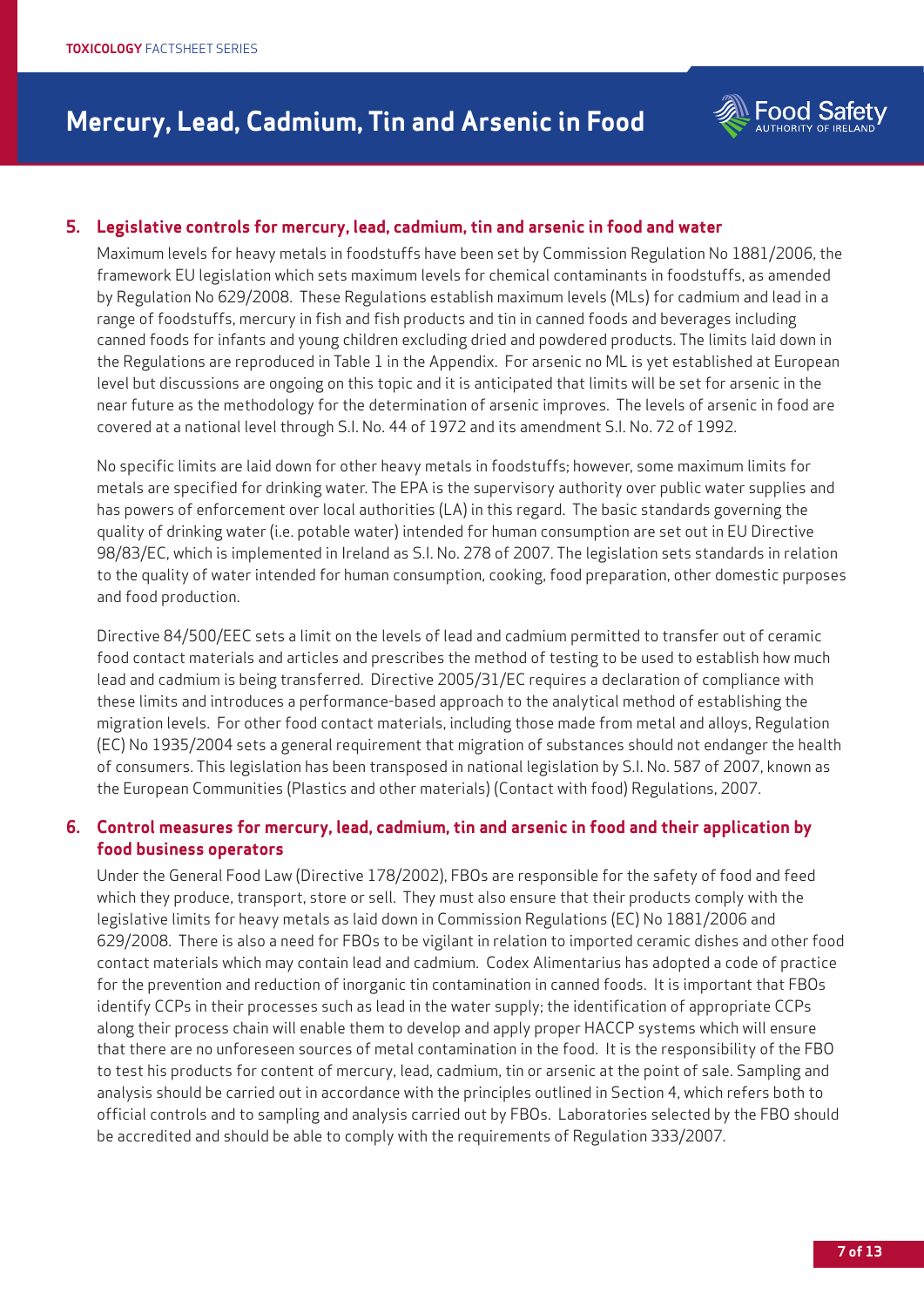

# **5. Legislative controls for mercury, lead, cadmium, tin and arsenic in food and water**

Maximum levels for heavy metals in foodstuffs have been set by Commission Regulation No 1881/2006, the framework EU legislation which sets maximum levels for chemical contaminants in foodstuffs, as amended by Regulation No 629/2008. These Regulations establish maximum levels (MLs) for cadmium and lead in a range of foodstuffs, mercury in fish and fish products and tin in canned foods and beverages including canned foods for infants and young children excluding dried and powdered products. The limits laid down in the Regulations are reproduced in Table 1 in the Appendix. For arsenic no ML is yet established at European level but discussions are ongoing on this topic and it is anticipated that limits will be set for arsenic in the near future as the methodology for the determination of arsenic improves. The levels of arsenic in food are covered at a national level through S.I. No. 44 of 1972 and its amendment S.I. No. 72 of 1992.

No specific limits are laid down for other heavy metals in foodstuffs; however, some maximum limits for metals are specified for drinking water. The EPA is the supervisory authority over public water supplies and has powers of enforcement over local authorities (LA) in this regard. The basic standards governing the quality of drinking water (i.e. potable water) intended for human consumption are set out in EU Directive 98/83/EC, which is implemented in Ireland as S.I. No. 278 of 2007. The legislation sets standards in relation to the quality of water intended for human consumption, cooking, food preparation, other domestic purposes and food production.

Directive 84/500/EEC sets a limit on the levels of lead and cadmium permitted to transfer out of ceramic food contact materials and articles and prescribes the method of testing to be used to establish how much lead and cadmium is being transferred. Directive 2005/31/EC requires a declaration of compliance with these limits and introduces a performance-based approach to the analytical method of establishing the migration levels. For other food contact materials, including those made from metal and alloys, Regulation (EC) No 1935/2004 sets a general requirement that migration of substances should not endanger the health of consumers. This legislation has been transposed in national legislation by S.I. No. 587 of 2007, known as the European Communities (Plastics and other materials) (Contact with food) Regulations, 2007.

# **6. Control measures for mercury, lead, cadmium, tin and arsenic in food and their application by food business operators**

Under the General Food Law (Directive 178/2002), FBOs are responsible for the safety of food and feed which they produce, transport, store or sell. They must also ensure that their products comply with the legislative limits for heavy metals as laid down in Commission Regulations (EC) No 1881/2006 and 629/2008. There is also a need for FBOs to be vigilant in relation to imported ceramic dishes and other food contact materials which may contain lead and cadmium. Codex Alimentarius has adopted a code of practice for the prevention and reduction of inorganic tin contamination in canned foods. It is important that FBOs identify CCPs in their processes such as lead in the water supply; the identification of appropriate CCPs along their process chain will enable them to develop and apply proper HACCP systems which will ensure that there are no unforeseen sources of metal contamination in the food. It is the responsibility of the FBO to test his products for content of mercury, lead, cadmium, tin or arsenic at the point of sale. Sampling and analysis should be carried out in accordance with the principles outlined in Section 4, which refers both to official controls and to sampling and analysis carried out by FBOs. Laboratories selected by the FBO should be accredited and should be able to comply with the requirements of Regulation 333/2007.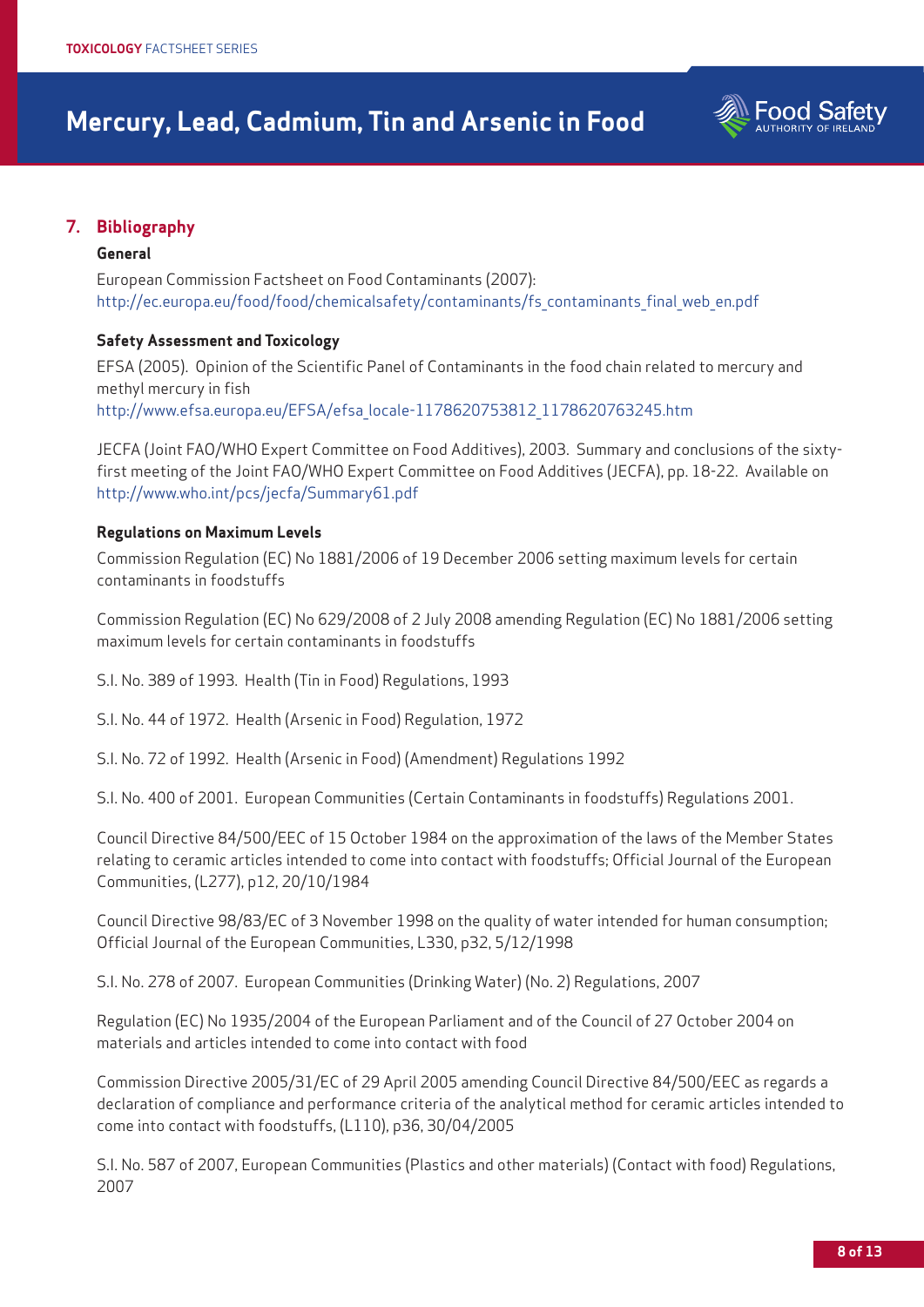

# **7. Bibliography**

### **General**

European Commission Factsheet on Food Contaminants (2007): http://ec.europa.eu/food/food/chemicalsafety/contaminants/fs\_contaminants\_final\_web\_en.pdf

### **Safety Assessment and Toxicology**

EFSA (2005). Opinion of the Scientific Panel of Contaminants in the food chain related to mercury and methyl mercury in fish http://www.efsa.europa.eu/EFSA/efsa\_locale-1178620753812\_1178620763245.htm

JECFA (Joint FAO/WHO Expert Committee on Food Additives), 2003. Summary and conclusions of the sixtyfirst meeting of the Joint FAO/WHO Expert Committee on Food Additives (JECFA), pp. 18-22. Available on http://www.who.int/pcs/jecfa/Summary61.pdf

### **Regulations on Maximum Levels**

Commission Regulation (EC) No 1881/2006 of 19 December 2006 setting maximum levels for certain contaminants in foodstuffs

Commission Regulation (EC) No 629/2008 of 2 July 2008 amending Regulation (EC) No 1881/2006 setting maximum levels for certain contaminants in foodstuffs

S.I. No. 389 of 1993. Health (Tin in Food) Regulations, 1993

S.I. No. 44 of 1972. Health (Arsenic in Food) Regulation, 1972

S.I. No. 72 of 1992. Health (Arsenic in Food) (Amendment) Regulations 1992

S.I. No. 400 of 2001. European Communities (Certain Contaminants in foodstuffs) Regulations 2001.

Council Directive 84/500/EEC of 15 October 1984 on the approximation of the laws of the Member States relating to ceramic articles intended to come into contact with foodstuffs; Official Journal of the European Communities, (L277), p12, 20/10/1984

Council Directive 98/83/EC of 3 November 1998 on the quality of water intended for human consumption; Official Journal of the European Communities, L330, p32, 5/12/1998

S.I. No. 278 of 2007. European Communities (Drinking Water) (No. 2) Regulations, 2007

Regulation (EC) No 1935/2004 of the European Parliament and of the Council of 27 October 2004 on materials and articles intended to come into contact with food

Commission Directive 2005/31/EC of 29 April 2005 amending Council Directive 84/500/EEC as regards a declaration of compliance and performance criteria of the analytical method for ceramic articles intended to come into contact with foodstuffs, (L110), p36, 30/04/2005

S.I. No. 587 of 2007, European Communities (Plastics and other materials) (Contact with food) Regulations, 2007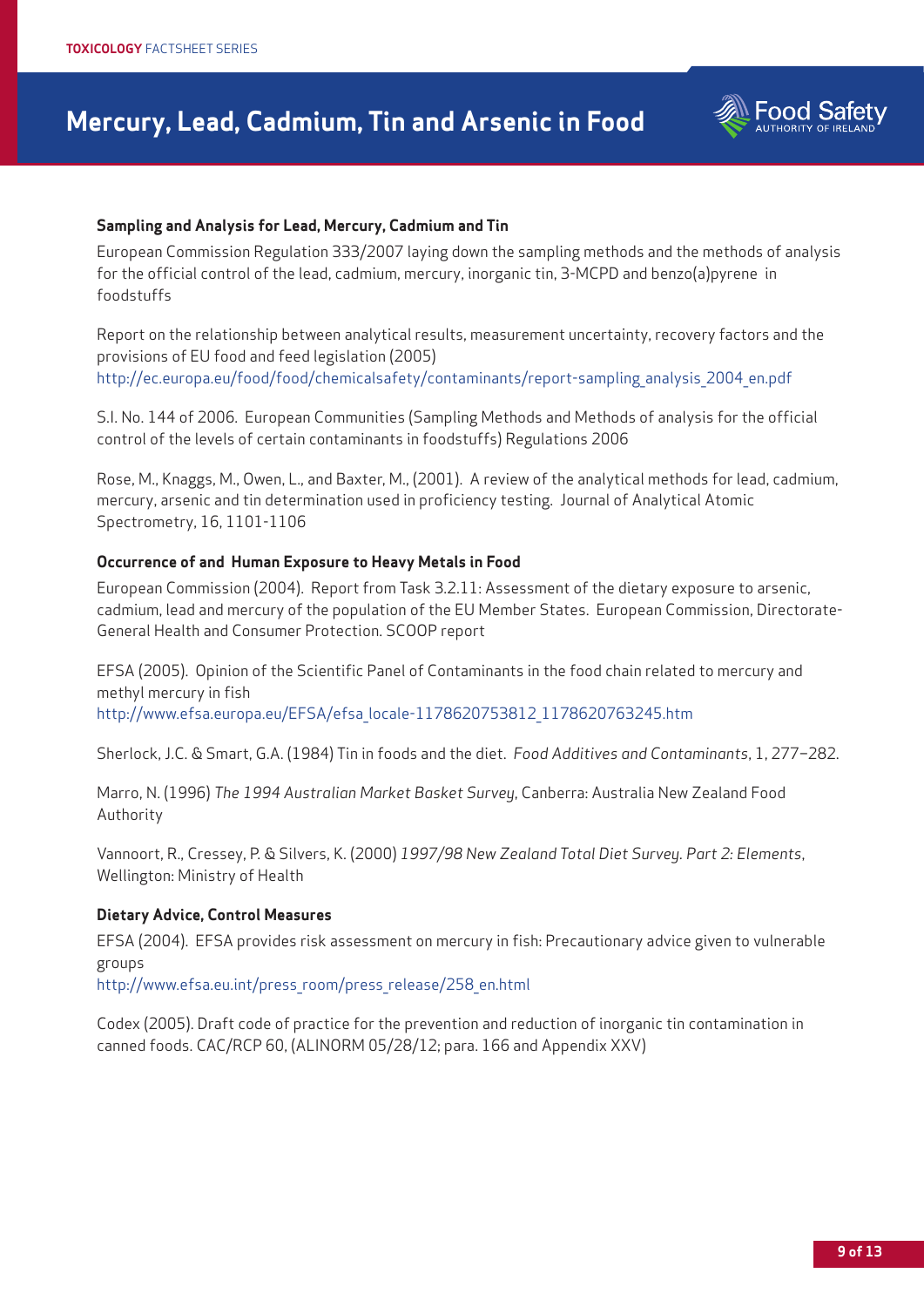

### **Sampling and Analysis for Lead, Mercury, Cadmium and Tin**

European Commission Regulation 333/2007 laying down the sampling methods and the methods of analysis for the official control of the lead, cadmium, mercury, inorganic tin, 3-MCPD and benzo(a)pyrene in foodstuffs

Report on the relationship between analytical results, measurement uncertainty, recovery factors and the provisions of EU food and feed legislation (2005) http://ec.europa.eu/food/food/chemicalsafety/contaminants/report-sampling\_analysis\_2004\_en.pdf

S.I. No. 144 of 2006. European Communities (Sampling Methods and Methods of analysis for the official control of the levels of certain contaminants in foodstuffs) Regulations 2006

Rose, M., Knaggs, M., Owen, L., and Baxter, M., (2001). A review of the analytical methods for lead, cadmium, mercury, arsenic and tin determination used in proficiency testing. Journal of Analytical Atomic Spectrometry, 16, 1101-1106

### **Occurrence of and Human Exposure to Heavy Metals in Food**

European Commission (2004). Report from Task 3.2.11: Assessment of the dietary exposure to arsenic, cadmium, lead and mercury of the population of the EU Member States. European Commission, Directorate-General Health and Consumer Protection. SCOOP report

EFSA (2005). Opinion of the Scientific Panel of Contaminants in the food chain related to mercury and methyl mercury in fish http://www.efsa.europa.eu/EFSA/efsa\_locale-1178620753812\_1178620763245.htm

Sherlock, J.C. & Smart, G.A. (1984) Tin in foods and the diet. *Food Additives and Contaminants*, 1, 277–282.

Marro, N. (1996) *The 1994 Australian Market Basket Survey*, Canberra: Australia New Zealand Food Authority

Vannoort, R., Cressey, P. & Silvers, K. (2000) *1997/98 New Zealand Total Diet Survey. Part 2: Elements*, Wellington: Ministry of Health

### **Dietary Advice, Control Measures**

EFSA (2004). EFSA provides risk assessment on mercury in fish: Precautionary advice given to vulnerable groups

http://www.efsa.eu.int/press\_room/press\_release/258\_en.html

Codex (2005). Draft code of practice for the prevention and reduction of inorganic tin contamination in canned foods. CAC/RCP 60, (ALINORM 05/28/12; para. 166 and Appendix XXV)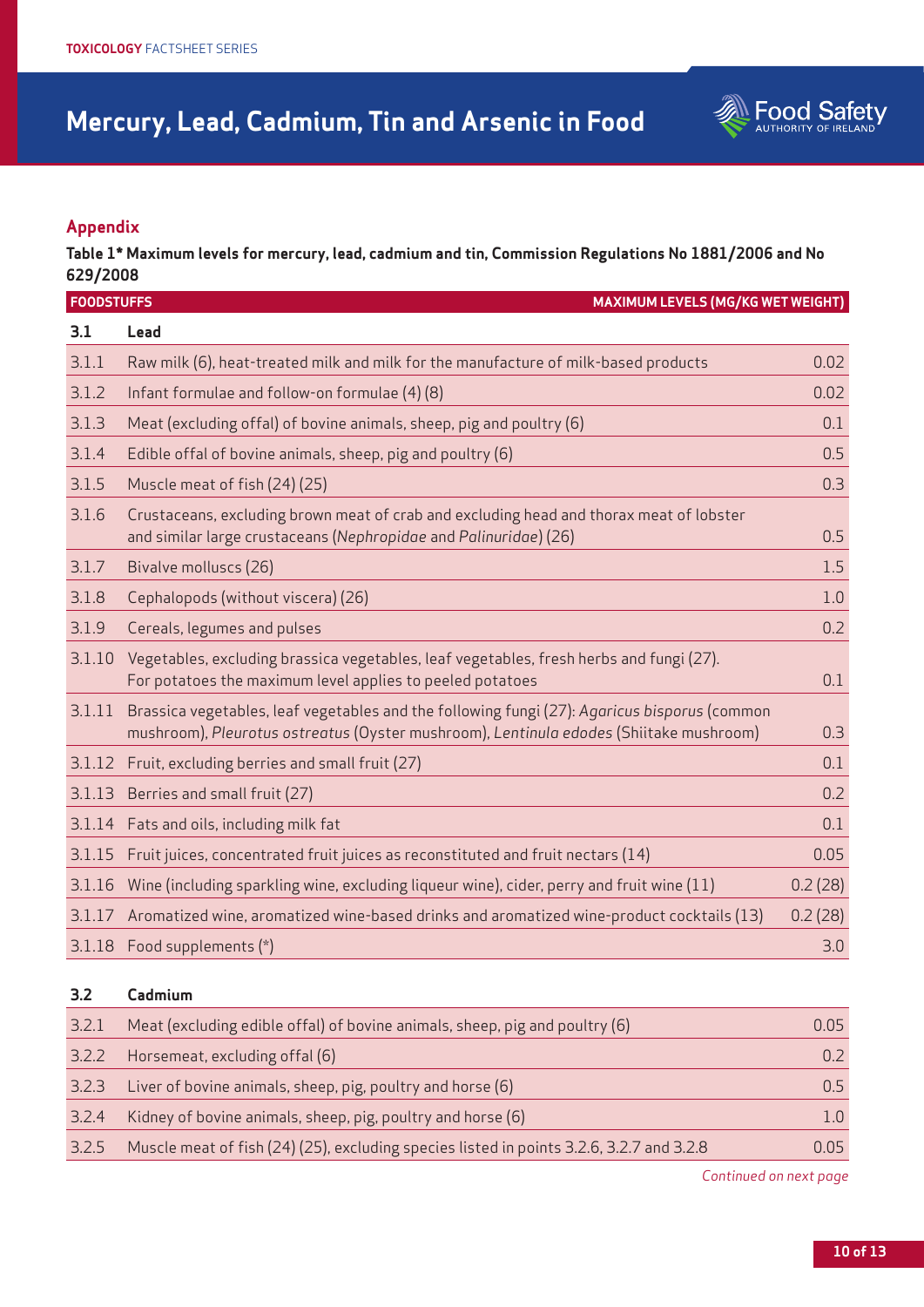

# **Appendix**

**Table 1\* Maximum levels for mercury, lead, cadmium and tin, Commission Regulations No 1881/2006 and No 629/2008** 

|        | <b>FOODSTUFFS</b><br><b>MAXIMUM LEVELS (MG/KG WET WEIGHT)</b>                                                                                                                          |         |
|--------|----------------------------------------------------------------------------------------------------------------------------------------------------------------------------------------|---------|
| 3.1    | Lead                                                                                                                                                                                   |         |
| 3.1.1  | Raw milk (6), heat-treated milk and milk for the manufacture of milk-based products                                                                                                    | 0.02    |
| 3.1.2  | Infant formulae and follow-on formulae (4) (8)                                                                                                                                         | 0.02    |
| 3.1.3  | Meat (excluding offal) of bovine animals, sheep, pig and poultry (6)                                                                                                                   | 0.1     |
| 3.1.4  | Edible offal of bovine animals, sheep, pig and poultry (6)                                                                                                                             | 0.5     |
| 3.1.5  | Muscle meat of fish (24) (25)                                                                                                                                                          | 0.3     |
| 3.1.6  | Crustaceans, excluding brown meat of crab and excluding head and thorax meat of lobster<br>and similar large crustaceans (Nephropidae and Palinuridae) (26)                            | 0.5     |
| 3.1.7  | Bivalve molluscs (26)                                                                                                                                                                  | 1.5     |
| 3.1.8  | Cephalopods (without viscera) (26)                                                                                                                                                     | 1.0     |
| 3.1.9  | Cereals, legumes and pulses                                                                                                                                                            | 0.2     |
| 3.1.10 | Vegetables, excluding brassica vegetables, leaf vegetables, fresh herbs and fungi (27).<br>For potatoes the maximum level applies to peeled potatoes                                   | 0.1     |
| 3.1.11 | Brassica vegetables, leaf vegetables and the following fungi (27): Agaricus bisporus (common<br>mushroom), Pleurotus ostreatus (Oyster mushroom), Lentinula edodes (Shiitake mushroom) | 0.3     |
| 3.1.12 | Fruit, excluding berries and small fruit (27)                                                                                                                                          | 0.1     |
| 3.1.13 | Berries and small fruit (27)                                                                                                                                                           | 0.2     |
| 3.1.14 | Fats and oils, including milk fat                                                                                                                                                      | 0.1     |
| 3.1.15 | Fruit juices, concentrated fruit juices as reconstituted and fruit nectars (14)                                                                                                        | 0.05    |
| 3.1.16 | Wine (including sparkling wine, excluding liqueur wine), cider, perry and fruit wine (11)                                                                                              | 0.2(28) |
| 3.1.17 | Aromatized wine, aromatized wine-based drinks and aromatized wine-product cocktails (13)                                                                                               | 0.2(28) |
|        | 3.1.18 Food supplements (*)                                                                                                                                                            | 3.0     |

# **3.2 Cadmium**

| 3.2.1 | Meat (excluding edible offal) of bovine animals, sheep, pig and poultry (6)              | 0.05  |
|-------|------------------------------------------------------------------------------------------|-------|
| 3.2.2 | Horsemeat, excluding offal (6)                                                           |       |
| 3.2.3 | Liver of bovine animals, sheep, pig, poultry and horse (6)                               | 0.5   |
| 3.2.4 | Kidney of bovine animals, sheep, pig, poultry and horse (6)                              |       |
| 3.2.5 | Muscle meat of fish (24) (25), excluding species listed in points 3.2.6, 3.2.7 and 3.2.8 | 0.05. |

*Continued on next page*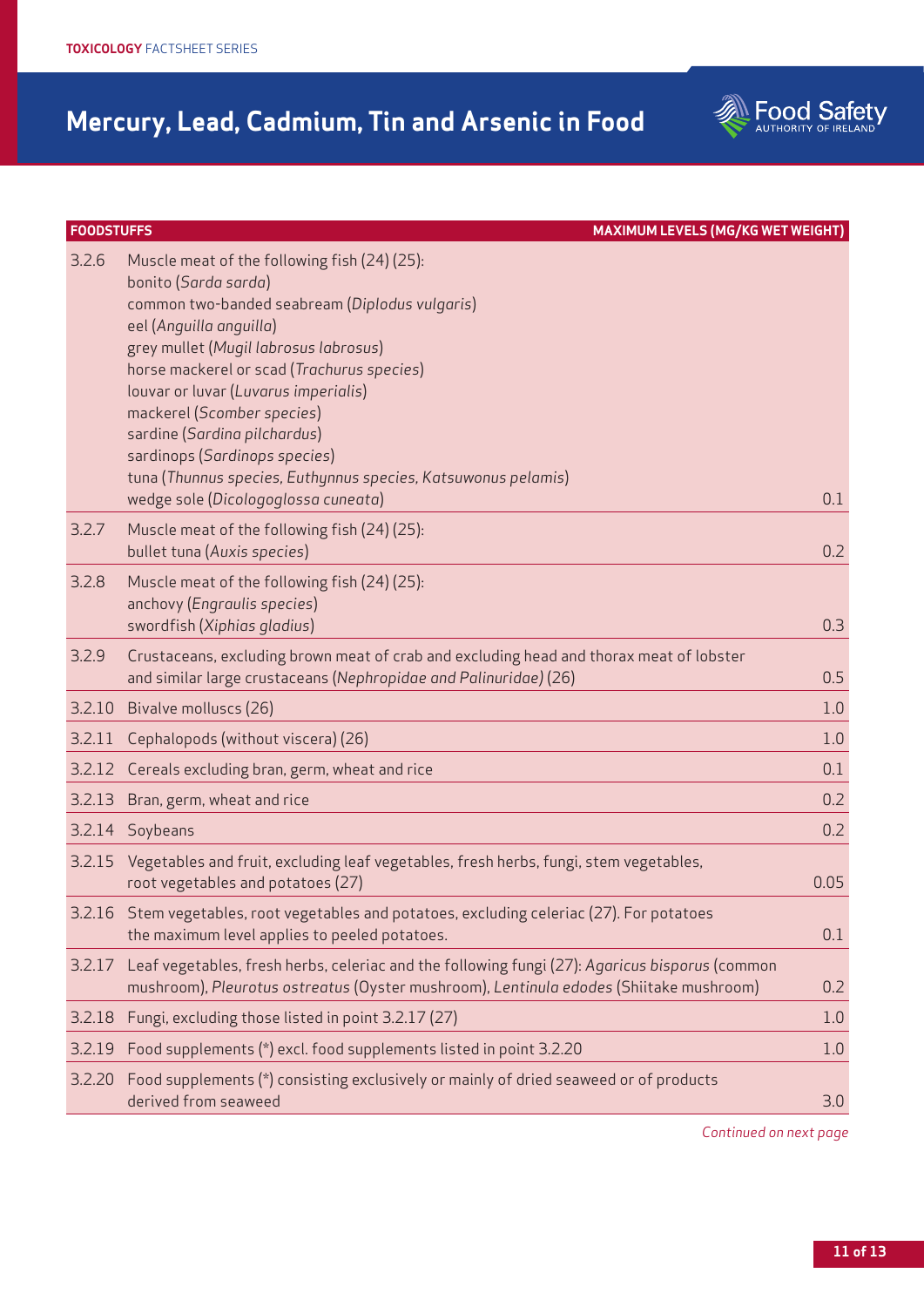| <b>FOODSTUFFS</b> | <b>MAXIMUM LEVELS (MG/KG WET WEIGHT)</b>                                                                                                                                                                                                                                                                                                                                                                                                                                                |      |
|-------------------|-----------------------------------------------------------------------------------------------------------------------------------------------------------------------------------------------------------------------------------------------------------------------------------------------------------------------------------------------------------------------------------------------------------------------------------------------------------------------------------------|------|
| 3.2.6             | Muscle meat of the following fish (24) (25):<br>bonito (Sarda sarda)<br>common two-banded seabream (Diplodus vulgaris)<br>eel (Anguilla anguilla)<br>grey mullet (Mugil labrosus labrosus)<br>horse mackerel or scad (Trachurus species)<br>louvar or luvar (Luvarus imperialis)<br>mackerel (Scomber species)<br>sardine (Sardina pilchardus)<br>sardinops (Sardinops species)<br>tuna (Thunnus species, Euthynnus species, Katsuwonus pelamis)<br>wedge sole (Dicologoglossa cuneata) | 0.1  |
| 3.2.7             | Muscle meat of the following fish (24) (25):<br>bullet tuna (Auxis species)                                                                                                                                                                                                                                                                                                                                                                                                             | 0.2  |
| 3.2.8             | Muscle meat of the following fish (24) (25):<br>anchovy (Engraulis species)<br>swordfish (Xiphias gladius)                                                                                                                                                                                                                                                                                                                                                                              | 0.3  |
| 3.2.9             | Crustaceans, excluding brown meat of crab and excluding head and thorax meat of lobster<br>and similar large crustaceans (Nephropidae and Palinuridae) (26)                                                                                                                                                                                                                                                                                                                             | 0.5  |
| 3.2.10            | Bivalve molluscs (26)                                                                                                                                                                                                                                                                                                                                                                                                                                                                   | 1.0  |
| 3.2.11            | Cephalopods (without viscera) (26)                                                                                                                                                                                                                                                                                                                                                                                                                                                      | 1.0  |
|                   | 3.2.12 Cereals excluding bran, germ, wheat and rice                                                                                                                                                                                                                                                                                                                                                                                                                                     | 0.1  |
| 3.2.13            | Bran, germ, wheat and rice                                                                                                                                                                                                                                                                                                                                                                                                                                                              | 0.2  |
|                   | 3.2.14 Soybeans                                                                                                                                                                                                                                                                                                                                                                                                                                                                         | 0.2  |
|                   | 3.2.15 Vegetables and fruit, excluding leaf vegetables, fresh herbs, fungi, stem vegetables,<br>root vegetables and potatoes (27)                                                                                                                                                                                                                                                                                                                                                       | 0.05 |
|                   | 3.2.16 Stem vegetables, root vegetables and potatoes, excluding celeriac (27). For potatoes<br>the maximum level applies to peeled potatoes.                                                                                                                                                                                                                                                                                                                                            | 0.1  |
| 3.2.17            | Leaf vegetables, fresh herbs, celeriac and the following fungi (27): Agaricus bisporus (common<br>mushroom), Pleurotus ostreatus (Oyster mushroom), Lentinula edodes (Shiitake mushroom)                                                                                                                                                                                                                                                                                                | 0.2  |
| 3.2.18            | Fungi, excluding those listed in point 3.2.17 (27)                                                                                                                                                                                                                                                                                                                                                                                                                                      | 1.0  |
|                   | 3.2.19 Food supplements (*) excl. food supplements listed in point 3.2.20                                                                                                                                                                                                                                                                                                                                                                                                               | 1.0  |
| 3.2.20            | Food supplements (*) consisting exclusively or mainly of dried seaweed or of products<br>derived from seaweed                                                                                                                                                                                                                                                                                                                                                                           | 3.0  |

*Continued on next page*

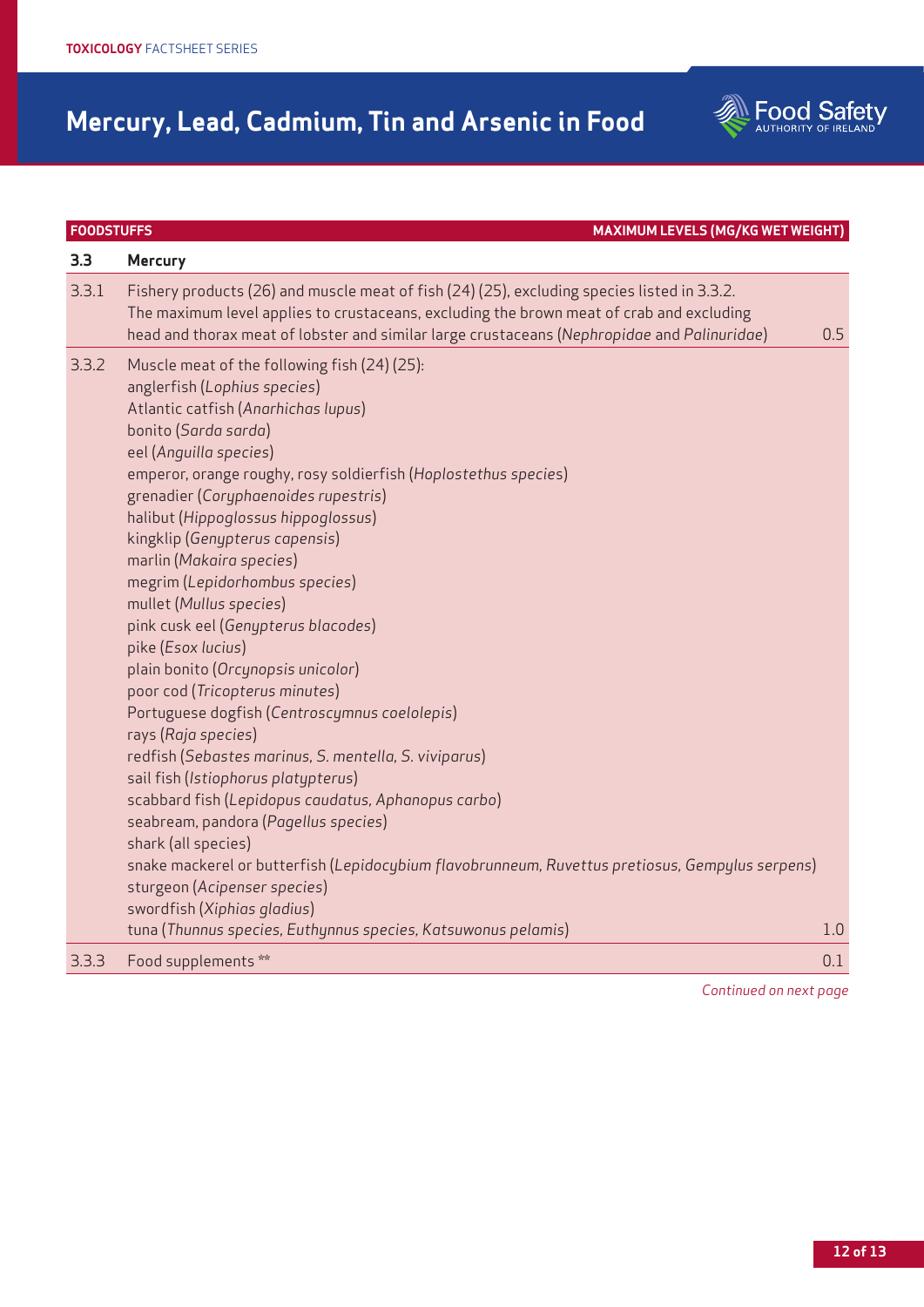| 3.3   | <b>Mercury</b>                                                                                                                                                                                                                                                                                                                                                                                                                                                                                                                                                                                                                                                                                                                                                                                                                                                                                                                                                                                                                                                                                                           |     |
|-------|--------------------------------------------------------------------------------------------------------------------------------------------------------------------------------------------------------------------------------------------------------------------------------------------------------------------------------------------------------------------------------------------------------------------------------------------------------------------------------------------------------------------------------------------------------------------------------------------------------------------------------------------------------------------------------------------------------------------------------------------------------------------------------------------------------------------------------------------------------------------------------------------------------------------------------------------------------------------------------------------------------------------------------------------------------------------------------------------------------------------------|-----|
| 3.3.1 | Fishery products (26) and muscle meat of fish (24) (25), excluding species listed in 3.3.2.<br>The maximum level applies to crustaceans, excluding the brown meat of crab and excluding<br>head and thorax meat of lobster and similar large crustaceans (Nephropidae and Palinuridae)                                                                                                                                                                                                                                                                                                                                                                                                                                                                                                                                                                                                                                                                                                                                                                                                                                   | 0.5 |
| 3.3.2 | Muscle meat of the following fish (24) (25):<br>anglerfish (Lophius species)<br>Atlantic catfish (Anarhichas lupus)<br>bonito (Sarda sarda)<br>eel (Anguilla species)<br>emperor, orange roughy, rosy soldierfish (Hoplostethus species)<br>grenadier (Coryphaenoides rupestris)<br>halibut (Hippoglossus hippoglossus)<br>kingklip (Genypterus capensis)<br>marlin (Makaira species)<br>megrim (Lepidorhombus species)<br>mullet (Mullus species)<br>pink cusk eel (Genypterus blacodes)<br>pike (Esox lucius)<br>plain bonito (Orcynopsis unicolor)<br>poor cod (Tricopterus minutes)<br>Portuguese dogfish (Centroscymnus coelolepis)<br>rays (Raja species)<br>redfish (Sebastes marinus, S. mentella, S. viviparus)<br>sail fish (Istiophorus platypterus)<br>scabbard fish (Lepidopus caudatus, Aphanopus carbo)<br>seabream, pandora (Pagellus species)<br>shark (all species)<br>snake mackerel or butterfish (Lepidocybium flavobrunneum, Ruvettus pretiosus, Gempylus serpens)<br>sturgeon (Acipenser species)<br>swordfish (Xiphias gladius)<br>tuna (Thunnus species, Euthynnus species, Katsuwonus pelamis) | 1.0 |
| 3.3.3 | Food supplements **                                                                                                                                                                                                                                                                                                                                                                                                                                                                                                                                                                                                                                                                                                                                                                                                                                                                                                                                                                                                                                                                                                      | 0.1 |
|       |                                                                                                                                                                                                                                                                                                                                                                                                                                                                                                                                                                                                                                                                                                                                                                                                                                                                                                                                                                                                                                                                                                                          |     |

**FOODSTUFFS MAXIMUM LEVELS (MG/KG WET WEIGHT)**

*Continued on next page*